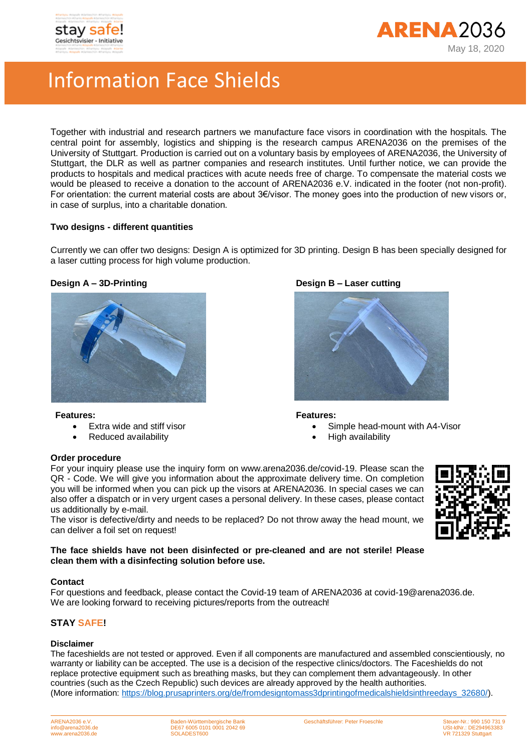



# Information Face Shields

Together with industrial and research partners we manufacture face visors in coordination with the hospitals. The central point for assembly, logistics and shipping is the research campus ARENA2036 on the premises of the University of Stuttgart. Production is carried out on a voluntary basis by employees of ARENA2036, the University of Stuttgart, the DLR as well as partner companies and research institutes. Until further notice, we can provide the products to hospitals and medical practices with acute needs free of charge. To compensate the material costs we would be pleased to receive a donation to the account of ARENA2036 e.V. indicated in the footer (not non-profit). For orientation: the current material costs are about 3€/visor. The money goes into the production of new visors or, in case of surplus, into a charitable donation.

# **Two designs - different quantities**

Currently we can offer two designs: Design A is optimized for 3D printing. Design B has been specially designed for a laser cutting process for high volume production.



### **Features:**

- Extra wide and stiff visor
- Reduced availability

# **Design A – 3D-Printing Design B – Laser cutting**



### **Features:**

- Simple head-mount with A4-Visor
	- High availability

## **Order procedure**

For your inquiry please use the inquiry form on www.arena2036.de/covid-19. Please scan the QR - Code. We will give you information about the approximate delivery time. On completion you will be informed when you can pick up the visors at ARENA2036. In special cases we can also offer a dispatch or in very urgent cases a personal delivery. In these cases, please contact us additionally by e-mail.

The visor is defective/dirty and needs to be replaced? Do not throw away the head mount, we can deliver a foil set on request!

### **The face shields have not been disinfected or pre-cleaned and are not sterile! Please clean them with a disinfecting solution before use.**

### **Contact**

For questions and feedback, please contact the Covid-19 team of ARENA2036 at covid-19@arena2036.de. We are looking forward to receiving pictures/reports from the outreach!

# **STAY SAFE!**

### **Disclaimer**

The faceshields are not tested or approved. Even if all components are manufactured and assembled conscientiously, no warranty or liability can be accepted. The use is a decision of the respective clinics/doctors. The Faceshields do not replace protective equipment such as breathing masks, but they can complement them advantageously. In other countries (such as the Czech Republic) such devices are already approved by the health authorities. (More information: [https://blog.prusaprinters.org/de/fromdesigntomass3dprintingofmedicalshieldsinthreedays\\_32680/\)](https://blog.prusaprinters.org/de/fromdesigntomass3dprintingofmedicalshieldsinthreedays_32680/).